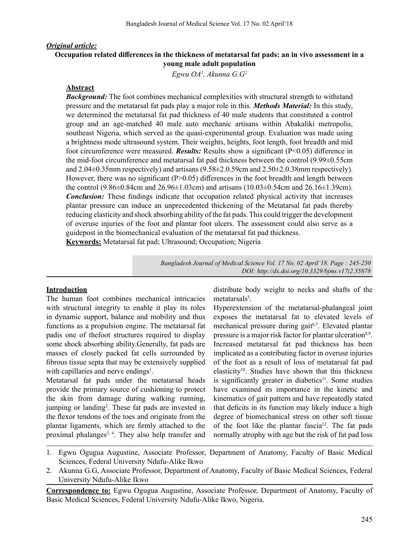### *Original article:*

## **Occupation related differences in the thickness of metatarsal fat pads: an in vivo assessment in a young male adult population**

*Egwu OA1 , Akunna G.G2*

### **Abstract**

*Background:* The foot combines mechanical complexities with structural strength to withstand pressure and the metatarsal fat pads play a major role in this. *Methods Material:* In this study, we determined the metatarsal fat pad thickness of 40 male students that constituted a control group and an age-matched 40 male auto mechanic artisans within Abakaliki metropolis, southeast Nigeria, which served as the quasi-experimental group. Evaluation was made using a brightness mode ultrasound system. Their weights, heights, foot length, foot breadth and mid foot circumference were measured. *Results:* Results show a significant (P<0.05) difference in the mid-foot circumference and metatarsal fat pad thickness between the control (9.99±0.55cm and  $2.04\pm0.35$ mm respectively) and artisans (9.58 $\pm2.0.59$ cm and  $2.50\pm2.0.38$ mm respectively). However, there was no significant (P $> 0.05$ ) differences in the foot breadth and length between the control (9.86±0.84cm and 26.96±1.03cm) and artisans (10.03±0.54cm and 26.16±1.39cm). *Conclusion:* These findings indicate that occupation related physical activity that increases plantar pressure can induce an unprecedented thickening of the Metatarsal fat pads thereby reducing elasticity and shock absorbing ability of the fat pads.This could trigger the development of overuse injuries of the foot and plantar foot ulcers. The assessment could also serve as a guidepost in the biomechanical evaluation of the metatarsal fat pad thickness.

**Keywords:** Metatarsal fat pad; Ultrasound; Occupation; Nigeria

*Bangladesh Journal of Medical Science Vol. 17 No. 02 April'18. Page : 245-250 DOI: http://dx.doi.org/10.3329/bjms.v17i2.35878* 

#### **Introduction**

The human foot combines mechanical intricacies with structural integrity to enable it play its roles in dynamic support, balance and mobility and thus functions as a propulsion engine. The metatarsal fat padis one of thefoot structures required to display some shock absorbing ability.Generally, fat pads are masses of closely packed fat cells surrounded by fibrous tissue septa that may be extensively supplied with capillaries and nerve endings<sup>1</sup>.

Metatarsal fat pads under the metatarsal heads provide the primary source of cushioning to protect the skin from damage during walking running, jumping or landing<sup>2</sup>. These fat pads are invested in the flexor tendons of the toes and originate from the plantar ligaments, which are firmly attached to the proximal phalanges<sup>3, 4</sup>. They also help transfer and distribute body weight to necks and shafts of the metatarsals<sup>5</sup>.

Hyperextension of the metatarsal-phalangeal joint exposes the metatarsal fat to elevated levels of mechanical pressure during gait<sup>6,7</sup>. Elevated plantar pressure is a major risk factor for plantar ulceration<sup>8,9</sup>. Increased metatarsal fat pad thickness has been implicated as a contributing factor in overuse injuries of the foot as a result of loss of metatarsal fat pad elasticity<sup>10</sup>. Studies have shown that this thickness is significantly greater in diabetics<sup>11</sup>. Some studies have examined its importance in the kinetic and kinematics of gait pattern and have repeatedly stated that deficits in its function may likely induce a high degree of biomechanical stress on other soft tissue of the foot like the plantar fascia<sup>12</sup>. The fat pads normally atrophy with age but the risk of fat pad loss

- 1. Egwu Ogugua Augustine, Associate Professor, Department of Anatomy, Faculty of Basic Medical Sciences, Federal University Ndufu-Alike Ikwo
- 2. Akunna G.G, Associate Professor, Department of Anatomy, Faculty of Basic Medical Sciences, Federal University Ndufu-Alike Ikwo

**Correspondence to:** Egwu Ogugua Augustine, Associate Professor, Department of Anatomy, Faculty of Basic Medical Sciences, Federal University Ndufu-Alike Ikwo, Nigeria.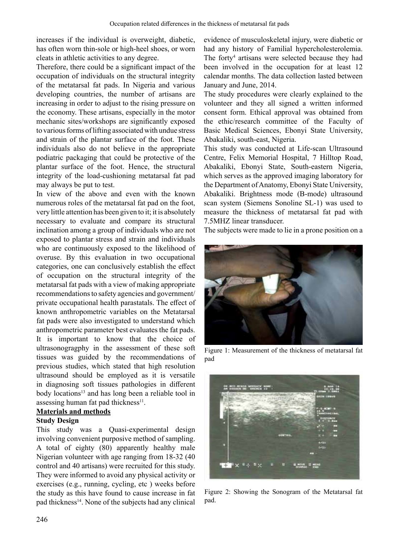increases if the individual is overweight, diabetic, has often worn thin-sole or high-heel shoes, or worn cleats in athletic activities to any degree.

Therefore, there could be a significant impact of the occupation of individuals on the structural integrity of the metatarsal fat pads. In Nigeria and various developing countries, the number of artisans are increasing in order to adjust to the rising pressure on the economy. These artisans, especially in the motor mechanic sites/workshops are significantly exposed to various forms of lifting associated with undue stress and strain of the plantar surface of the foot. These individuals also do not believe in the appropriate podiatric packaging that could be protective of the plantar surface of the foot. Hence, the structural integrity of the load-cushioning metatarsal fat pad may always be put to test.

In view of the above and even with the known numerous roles of the metatarsal fat pad on the foot, very little attention has been given to it; it is absolutely necessary to evaluate and compare its structural inclination among a group of individuals who are not exposed to plantar stress and strain and individuals who are continuously exposed to the likelihood of overuse. By this evaluation in two occupational categories, one can conclusively establish the effect of occupation on the structural integrity of the metatarsal fat pads with a view of making appropriate recommendations to safety agencies and government/ private occupational health parastatals. The effect of known anthropometric variables on the Metatarsal fat pads were also investigated to understand which anthropometric parameter best evaluates the fat pads. It is important to know that the choice of ultrasonogragphy in the assessment of these soft tissues was guided by the recommendations of previous studies, which stated that high resolution ultrasound should be employed as it is versatile in diagnosing soft tissues pathologies in different body locations<sup>13</sup> and has long been a reliable tool in assessing human fat pad thickness<sup>11</sup>.

# **Materials and methods**

## **Study Design**

This study was a Quasi-experimental design involving convenient purposive method of sampling. A total of eighty (80) apparently healthy male Nigerian volunteer with age ranging from 18-32 (40 control and 40 artisans) were recruited for this study. They were informed to avoid any physical activity or exercises (e.g., running, cycling, etc ) weeks before the study as this have found to cause increase in fat pad thickness<sup>14</sup>. None of the subjects had any clinical evidence of musculoskeletal injury, were diabetic or had any history of Familial hypercholesterolemia. The forty<sup>4</sup> artisans were selected because they had been involved in the occupation for at least 12 calendar months. The data collection lasted between January and June, 2014.

The study procedures were clearly explained to the volunteer and they all signed a written informed consent form. Ethical approval was obtained from the ethic/research committee of the Faculty of Basic Medical Sciences, Ebonyi State University, Abakaliki, south-east, Nigeria.

This study was conducted at Life-scan Ultrasound Centre, Felix Memorial Hospital, 7 Hilltop Road, Abakaliki, Ebonyi State, South-eastern Nigeria, which serves as the approved imaging laboratory for the Department of Anatomy, Ebonyi State University, Abakaliki. Brightness mode (B-mode) ultrasound scan system (Siemens Sonoline SL-1) was used to measure the thickness of metatarsal fat pad with 7.5MHZ linear transducer.

The subjects were made to lie in a prone position on a



Figure 1: Measurement of the thickness of metatarsal fat pad



*Figure 2: Showing the Sonogram of the Metatarsal fat* pad.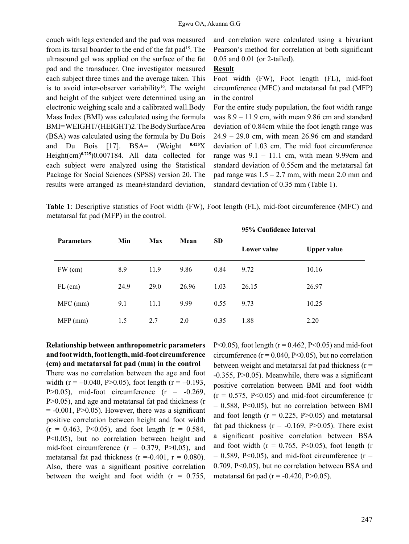couch with legs extended and the pad was measured from its tarsal boarder to the end of the fat pad<sup>15</sup>. The ultrasound gel was applied on the surface of the fat pad and the transducer. One investigator measured each subject three times and the average taken. This is to avoid inter-observer variability<sup>16</sup>. The weight and height of the subject were determined using an electronic weighing scale and a calibrated wall.Body Mass Index (BMI) was calculated using the formula BMI=WEIGHT/(HEIGHT)2.TheBodySurfaceArea (BSA) was calculated using the formula by Du Bois and Du Bois [17]. BSA= (Weight **0.425**X Height(cm)**0.725**)0.007184. All data collected for each subject were analyzed using the Statistical Package for Social Sciences (SPSS) version 20. The results were arranged as mean±standard deviation,

and correlation were calculated using a bivariant Pearson's method for correlation at both significant 0.05 and 0.01 (or 2-tailed).

#### **Result**

Foot width (FW), Foot length (FL), mid-foot circumference (MFC) and metatarsal fat pad (MFP) in the control

For the entire study population, the foot width range was 8.9 – 11.9 cm, with mean 9.86 cm and standard deviation of 0.84cm while the foot length range was 24.9 – 29.0 cm, with mean 26.96 cm and standard deviation of 1.03 cm. The mid foot circumference range was  $9.1 - 11.1$  cm, with mean 9.99cm and standard deviation of 0.55cm and the metatarsal fat pad range was  $1.5 - 2.7$  mm, with mean 2.0 mm and standard deviation of 0.35 mm (Table 1).

**Table 1**: Descriptive statistics of Foot width (FW), Foot length (FL), mid-foot circumference (MFC) and metatarsal fat pad (MFP) in the control.

| <b>Parameters</b> | Min  | Max  | Mean  | <b>SD</b> | 95% Confidence Interval |                    |  |
|-------------------|------|------|-------|-----------|-------------------------|--------------------|--|
|                   |      |      |       |           | Lower value             | <b>Upper value</b> |  |
| $FW$ (cm)         | 8.9  | 11.9 | 9.86  | 0.84      | 9.72                    | 10.16              |  |
| $FL$ (cm)         | 24.9 | 29.0 | 26.96 | 1.03      | 26.15                   | 26.97              |  |
| $MFC$ (mm)        | 9.1  | 11.1 | 9.99  | 0.55      | 9.73                    | 10.25              |  |
| $MFP$ (mm)        | 1.5  | 2.7  | 2.0   | 0.35      | 1.88                    | 2.20               |  |

**Relationship between anthropometric parameters and foot width, foot length, mid-foot circumference (cm) and metatarsal fat pad (mm) in the control** There was no correlation between the age and foot width (r =  $-0.040$ , P $> 0.05$ ), foot length (r =  $-0.193$ , P $>0.05$ ), mid-foot circumference ( $r = -0.269$ , P>0.05), and age and metatarsal fat pad thickness (r  $= -0.001$ , P $> 0.05$ ). However, there was a significant positive correlation between height and foot width  $(r = 0.463, P<0.05)$ , and foot length  $(r = 0.584,$ P<0.05), but no correlation between height and mid-foot circumference  $(r = 0.379, P > 0.05)$ , and metatarsal fat pad thickness ( $r = -0.401$ ,  $r = 0.080$ ). Also, there was a significant positive correlation between the weight and foot width  $(r = 0.755)$ ,

P<0.05), foot length ( $r = 0.462$ , P<0.05) and mid-foot circumference ( $r = 0.040$ ,  $P < 0.05$ ), but no correlation between weight and metatarsal fat pad thickness  $(r =$ -0.355, P>0.05). Meanwhile, there was a significant positive correlation between BMI and foot width  $(r = 0.575, P < 0.05)$  and mid-foot circumference (r  $= 0.588$ , P<0.05), but no correlation between BMI and foot length  $(r = 0.225, P > 0.05)$  and metatarsal fat pad thickness ( $r = -0.169$ , P $> 0.05$ ). There exist a significant positive correlation between BSA and foot width ( $r = 0.765$ , P<0.05), foot length (r  $= 0.589$ , P<0.05), and mid-foot circumference (r = 0.709, P<0.05), but no correlation between BSA and metatarsal fat pad ( $r = -0.420$ , P $> 0.05$ ).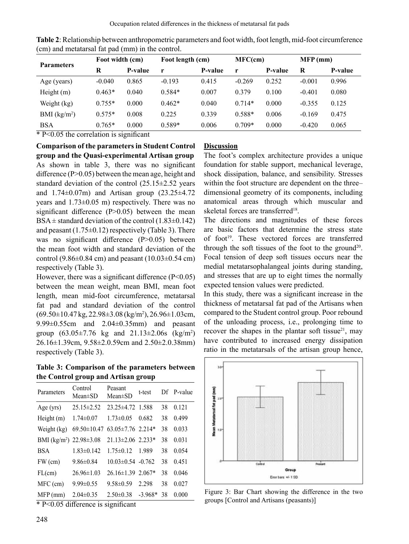| <b>Parameters</b> | Foot width (cm) |         | Foot length (cm) |         | $MFC$ (cm) |         | $MFP$ (mm) |         |
|-------------------|-----------------|---------|------------------|---------|------------|---------|------------|---------|
|                   | R               | P-value | r                | P-value | r          | P-value | R          | P-value |
| Age (years)       | $-0.040$        | 0.865   | $-0.193$         | 0.415   | $-0.269$   | 0.252   | $-0.001$   | 0.996   |
| Height $(m)$      | $0.463*$        | 0.040   | $0.584*$         | 0.007   | 0.379      | 0.100   | $-0.401$   | 0.080   |
| Weight (kg)       | $0.755*$        | 0.000   | $0.462*$         | 0.040   | $0.714*$   | 0.000   | $-0.355$   | 0.125   |
| BMI $(kg/m2)$     | $0.575*$        | 0.008   | 0.225            | 0.339   | $0.588*$   | 0.006   | $-0.169$   | 0.475   |
| <b>BSA</b>        | $0.765*$        | 0.000   | $0.589*$         | 0.006   | $0.709*$   | 0.000   | $-0.420$   | 0.065   |

**Table 2**: Relationship between anthropometric parameters and foot width, foot length, mid-foot circumference (cm) and metatarsal fat pad (mm) in the control.

\* P<0.05 the correlation is significant

**Comparison of the parameters in Student Control group and the Quasi-experimental Artisan group** As shown in table 3, there was no significant difference (P>0.05) between the mean age, height and standard deviation of the control (25.15±2.52 years and 1.74±0.07m) and Artisan group (23.25±4.72 years and 1.73±0.05 m) respectively. There was no significant difference  $(P>0.05)$  between the mean BSA $\pm$  standard deviation of the control (1.83 $\pm$ 0.142) and peasant  $(1.75\pm0.12)$  respectively (Table 3). There was no significant difference (P>0.05) between the mean foot width and standard deviation of the control (9.86 $\pm$ 0.84 cm) and peasant (10.03 $\pm$ 0.54 cm) respectively (Table 3).

However, there was a significant difference  $(P<0.05)$ between the mean weight, mean BMI, mean foot length, mean mid-foot circumference, metatarsal fat pad and standard deviation of the control (69.50±10.47 kg, 22.98±3.08 (kg/m<sup>2</sup> ), 26.96±1.03cm, 9.99±0.55cm and 2.04±0.35mm) and peasant group  $(63.05 \pm 7.76 \text{ kg} \text{ and } 21.13 \pm 2.06 \text{s} \text{ (kg/m}^2)$ 26.16±1.39cm, 9.58±2.0.59cm and 2.50±2.0.38mm) respectively (Table 3).

**Table 3: Comparison of the parameters between the Control group and Artisan group**

| Parameters                          | Control<br>$Mean \pm SD$ | Peasant<br>Mean±SD       | t-test    |    | Df P-value |
|-------------------------------------|--------------------------|--------------------------|-----------|----|------------|
| Age $(yrs)$                         | $25.15 \pm 2.52$         | $23.25 \pm 4.72$ 1.588   |           | 38 | 0.121      |
| Height (m)                          | $1.74 \pm 0.07$          | $1.73 \pm 0.05$          | 0.682     | 38 | 0.499      |
| Weight (kg)                         | 69.50±10.47              | 63.05 $\pm$ 7.76 2.214*  |           | 38 | 0.033      |
| BMI (kg/m <sup>2</sup> ) 22.98±3.08 |                          | $21.13 \pm 2.06$ 2.233*  |           | 38 | 0.031      |
| <b>BSA</b>                          | $1.83 \pm 0.142$         | $1.75 \pm 0.12$ 1.989    |           | 38 | 0.054      |
| $FW$ (cm)                           | $9.86 \pm 0.84$          | $10.03 \pm 0.54 - 0.762$ |           | 38 | 0.451      |
| FL(cm)                              | $26.96 \pm 1.03$         | $26.16 \pm 1.39$ 2.067*  |           | 38 | 0.046      |
| MFC (cm)                            | $9.99 \pm 0.55$          | $9.58 \pm 0.59$          | 2.298     | 38 | 0.027      |
| $MFP$ (mm)                          | $2.04 \pm 0.35$          | $2.50 \pm 0.38$          | $-3.968*$ | 38 | 0.000      |
| $\cdots$ $\cdots$                   |                          | $\cdot$ $\cdot$ $\sim$   |           |    |            |

\* P<0.05 difference is significant

### **Discussion**

The foot's complex architecture provides a unique foundation for stable support, mechanical leverage, shock dissipation, balance, and sensibility. Stresses within the foot structure are dependent on the three– dimensional geometry of its components, including anatomical areas through which muscular and skeletal forces are transferred<sup>18</sup>.

The directions and magnitudes of these forces are basic factors that determine the stress state of foot<sup>19</sup>. These vectored forces are transferred through the soft tissues of the foot to the ground<sup>20</sup>. Focal tension of deep soft tissues occurs near the medial metatarsophalangeal joints during standing, and stresses that are up to eight times the normally expected tension values were predicted.

In this study, there was a significant increase in the thickness of metatarsal fat pad of the Artisans when compared to the Student control group. Poor rebound of the unloading process, i.e., prolonging time to recover the shapes in the plantar soft tissue $^{21}$ , may have contributed to increased energy dissipation ratio in the metatarsals of the artisan group hence,



*Figure* 3: Bar Chart showing the difference in the two groups [Control and Artisans (peasants)]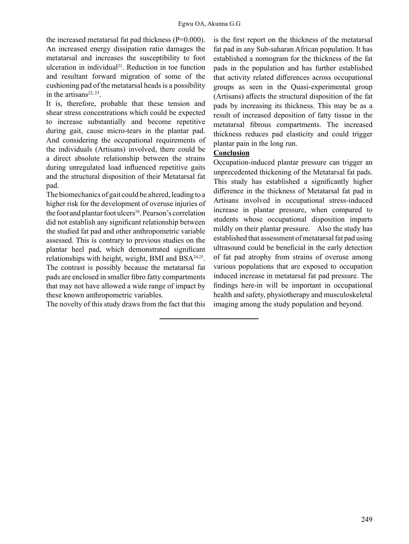the increased metatarsal fat pad thickness  $(P=0.000)$ . An increased energy dissipation ratio damages the metatarsal and increases the susceptibility to foot ulceration in individual<sup>21</sup>. Reduction in toe function and resultant forward migration of some of the cushioning pad of the metatarsal heads is a possibility in the artisans $22, 23$ .

It is, therefore, probable that these tension and shear stress concentrations which could be expected to increase substantially and become repetitive during gait, cause micro-tears in the plantar pad. And considering the occupational requirements of the individuals (Artisans) involved, there could be a direct absolute relationship between the strains during unregulated load influenced repetitive gaits and the structural disposition of their Metatarsal fat pad.

The biomechanics of gait could be altered, leading to a higher risk for the development of overuse injuries of the foot and plantar foot ulcers<sup>10</sup>. Pearson's correlation did not establish any significant relationship between the studied fat pad and other anthropometric variable assessed. This is contrary to previous studies on the plantar heel pad, which demonstrated significant relationships with height, weight, BMI and BSA24,25. The contrast is possibly because the metatarsal fat pads are enclosed in smaller fibro fatty compartments that may not have allowed a wide range of impact by these known anthropometric variables.

The novelty of this study draws from the fact that this

is the first report on the thickness of the metatarsal fat pad in any Sub-saharan African population. It has established a nomogram for the thickness of the fat pads in the population and has further established that activity related differences across occupational groups as seen in the Quasi-experimental group (Artisans) affects the structural disposition of the fat pads by increasing its thickness. This may be as a result of increased deposition of fatty tissue in the metatarsal fibrous compartments. The increased thickness reduces pad elasticity and could trigger plantar pain in the long run.

## **Conclusion**

Occupation-induced plantar pressure can trigger an unprecedented thickening of the Metatarsal fat pads. This study has established a significantly higher difference in the thickness of Metatarsal fat pad in Artisans involved in occupational stress-induced increase in plantar pressure, when compared to students whose occupational disposition imparts mildly on their plantar pressure. Also the study has established that assessment of metatarsal fat pad using ultrasound could be beneficial in the early detection of fat pad atrophy from strains of overuse among various populations that are exposed to occupation induced increase in metatarsal fat pad pressure. The findings here-in will be important in occupational health and safety, physiotherapy and musculoskeletal imaging among the study population and beyond.